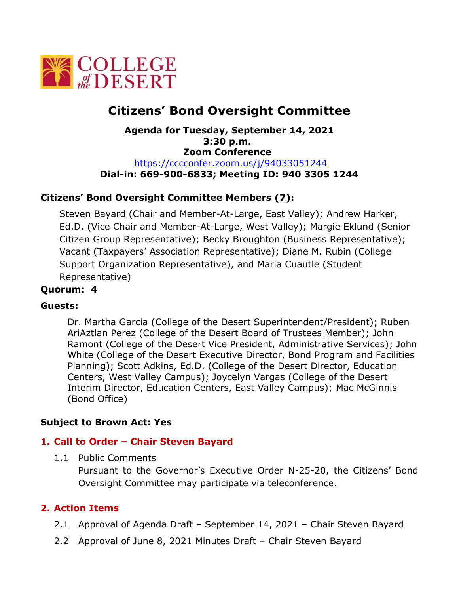

# **Citizens' Bond Oversight Committee**

**Agenda for Tuesday, September 14, 2021 3:30 p.m. Zoom Conference**  [https://cccconfer.zoom.us/j/94033051244](https://cccconfer.zoom.us/j/93308159905) **Dial-in: 669-900-6833; Meeting ID: 940 3305 1244**

## **Citizens' Bond Oversight Committee Members (7):**

Steven Bayard (Chair and Member-At-Large, East Valley); Andrew Harker, Ed.D. (Vice Chair and Member-At-Large, West Valley); Margie Eklund (Senior Citizen Group Representative); Becky Broughton (Business Representative); Vacant (Taxpayers' Association Representative); Diane M. Rubin (College Support Organization Representative), and Maria Cuautle (Student Representative)

## **Quorum: 4**

### **Guests:**

Dr. Martha Garcia (College of the Desert Superintendent/President); Ruben AriAztlan Perez (College of the Desert Board of Trustees Member); John Ramont (College of the Desert Vice President, Administrative Services); John White (College of the Desert Executive Director, Bond Program and Facilities Planning); Scott Adkins, Ed.D. (College of the Desert Director, Education Centers, West Valley Campus); Joycelyn Vargas (College of the Desert Interim Director, Education Centers, East Valley Campus); Mac McGinnis (Bond Office)

### **Subject to Brown Act: Yes**

### **1. Call to Order – Chair Steven Bayard**

1.1 Public Comments

Pursuant to the Governor's Executive Order N-25-20, the Citizens' Bond Oversight Committee may participate via teleconference.

### **2. Action Items**

- 2.1 Approval of Agenda Draft September 14, 2021 Chair Steven Bayard
- 2.2 Approval of June 8, 2021 Minutes Draft Chair Steven Bayard